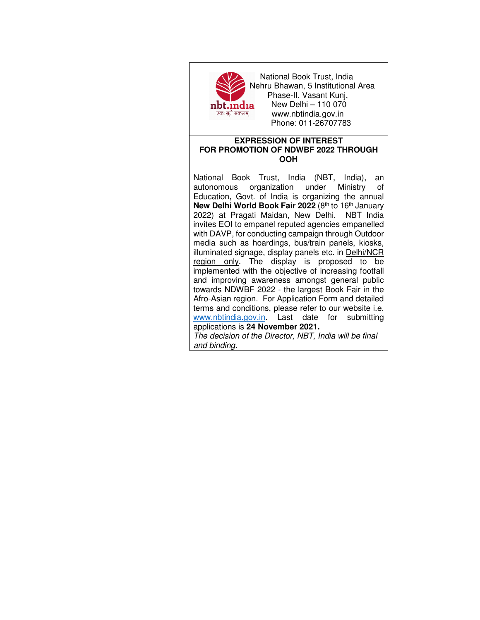

 National Book Trust, India Nehru Bhawan, 5 Institutional Area Phase-II, Vasant Kunj, **nbt.india** New Delhi – 110 070<br>एकः सूते सकलम् www.nbtindia gov.in www.nbtindia.gov.in Phone: 011-26707783

## **EXPRESSION OF INTEREST FOR PROMOTION OF NDWBF 2022 THROUGH OOH**

National Book Trust, India (NBT, India), an autonomous organization under Ministry of Education, Govt. of India is organizing the annual **New Delhi World Book Fair 2022** (8th to 16th January 2022) at Pragati Maidan, New Delhi. NBT India invites EOI to empanel reputed agencies empanelled with DAVP, for conducting campaign through Outdoor media such as hoardings, bus/train panels, kiosks, illuminated signage, display panels etc. in Delhi/NCR region only. The display is proposed to be implemented with the objective of increasing footfall and improving awareness amongst general public towards NDWBF 2022 - the largest Book Fair in the Afro-Asian region. For Application Form and detailed terms and conditions, please refer to our website i.e. www.nbtindia.gov.in. Last date for submitting applications is **24 November 2021.**

The decision of the Director, NBT, India will be final and binding.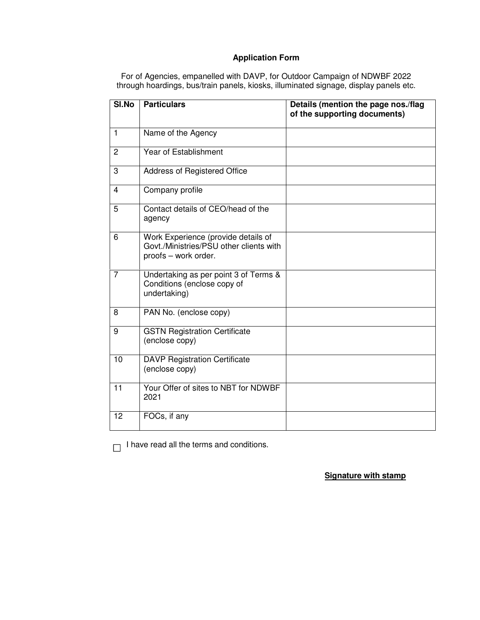# **Application Form**

For of Agencies, empanelled with DAVP, for Outdoor Campaign of NDWBF 2022 through hoardings, bus/train panels, kiosks, illuminated signage, display panels etc.

| SI.No          | <b>Particulars</b>                                                                                     | Details (mention the page nos./flag<br>of the supporting documents) |
|----------------|--------------------------------------------------------------------------------------------------------|---------------------------------------------------------------------|
| $\overline{1}$ | Name of the Agency                                                                                     |                                                                     |
| $\overline{2}$ | Year of Establishment                                                                                  |                                                                     |
| 3              | Address of Registered Office                                                                           |                                                                     |
| 4              | Company profile                                                                                        |                                                                     |
| 5              | Contact details of CEO/head of the<br>agency                                                           |                                                                     |
| 6              | Work Experience (provide details of<br>Govt./Ministries/PSU other clients with<br>proofs - work order. |                                                                     |
| $\overline{7}$ | Undertaking as per point 3 of Terms &<br>Conditions (enclose copy of<br>undertaking)                   |                                                                     |
| 8              | PAN No. (enclose copy)                                                                                 |                                                                     |
| 9              | <b>GSTN Registration Certificate</b><br>(enclose copy)                                                 |                                                                     |
| 10             | <b>DAVP Registration Certificate</b><br>(enclose copy)                                                 |                                                                     |
| 11             | Your Offer of sites to NBT for NDWBF<br>2021                                                           |                                                                     |
| 12             | FOCs, if any                                                                                           |                                                                     |

 $\Box$  I have read all the terms and conditions.

**Signature with stamp**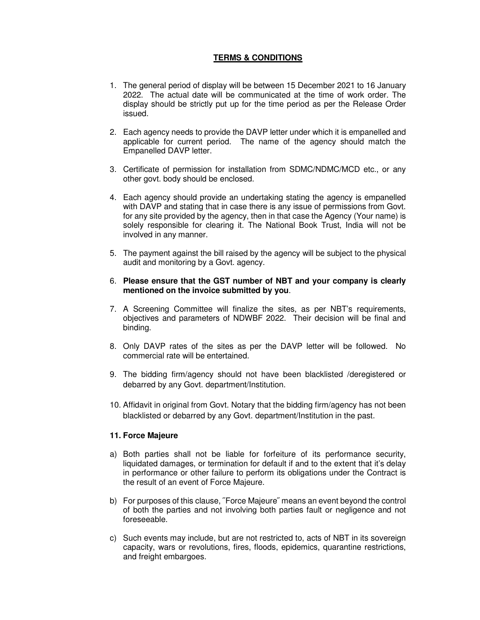## **TERMS & CONDITIONS**

- 1. The general period of display will be between 15 December 2021 to 16 January 2022. The actual date will be communicated at the time of work order. The display should be strictly put up for the time period as per the Release Order issued.
- 2. Each agency needs to provide the DAVP letter under which it is empanelled and applicable for current period. The name of the agency should match the Empanelled DAVP letter.
- 3. Certificate of permission for installation from SDMC/NDMC/MCD etc., or any other govt. body should be enclosed.
- 4. Each agency should provide an undertaking stating the agency is empanelled with DAVP and stating that in case there is any issue of permissions from Govt. for any site provided by the agency, then in that case the Agency (Your name) is solely responsible for clearing it. The National Book Trust, India will not be involved in any manner.
- 5. The payment against the bill raised by the agency will be subject to the physical audit and monitoring by a Govt. agency.

#### 6. **Please ensure that the GST number of NBT and your company is clearly mentioned on the invoice submitted by you**.

- 7. A Screening Committee will finalize the sites, as per NBT's requirements, objectives and parameters of NDWBF 2022. Their decision will be final and binding.
- 8. Only DAVP rates of the sites as per the DAVP letter will be followed. No commercial rate will be entertained.
- 9. The bidding firm/agency should not have been blacklisted /deregistered or debarred by any Govt. department/Institution.
- 10. Affidavit in original from Govt. Notary that the bidding firm/agency has not been blacklisted or debarred by any Govt. department/Institution in the past.

#### **11. Force Majeure**

- a) Both parties shall not be liable for forfeiture of its performance security, liquidated damages, or termination for default if and to the extent that it's delay in performance or other failure to perform its obligations under the Contract is the result of an event of Force Majeure.
- b) For purposes of this clause, ˝Force Majeure˝ means an event beyond the control of both the parties and not involving both parties fault or negligence and not foreseeable.
- c) Such events may include, but are not restricted to, acts of NBT in its sovereign capacity, wars or revolutions, fires, floods, epidemics, quarantine restrictions, and freight embargoes.